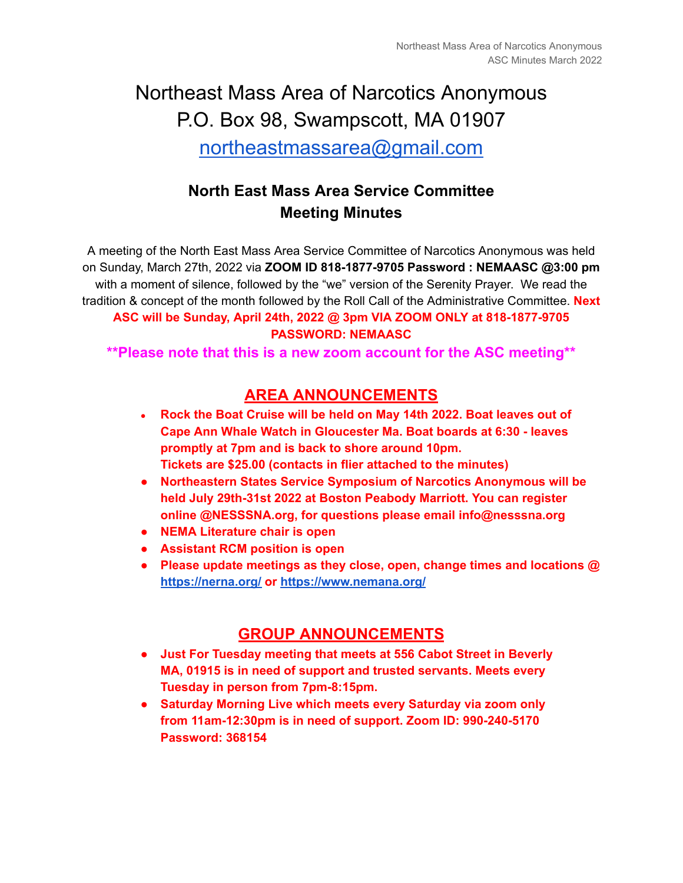# Northeast Mass Area of Narcotics Anonymous P.O. Box 98, Swampscott, MA 01907

[northeastmassarea@gmail.com](mailto:northeastmassarea@gmail.com)

# **North East Mass Area Service Committee Meeting Minutes**

A meeting of the North East Mass Area Service Committee of Narcotics Anonymous was held on Sunday, March 27th, 2022 via **ZOOM ID 818-1877-9705 Password : NEMAASC @3:00 pm** with a moment of silence, followed by the "we" version of the Serenity Prayer. We read the tradition & concept of the month followed by the Roll Call of the Administrative Committee. **Next ASC will be Sunday, April 24th, 2022 @ 3pm VIA ZOOM ONLY at 818-1877-9705 PASSWORD: NEMAASC**

**\*\*Please note that this is a new zoom account for the ASC meeting\*\***

# **AREA ANNOUNCEMENTS**

- **● Rock the Boat Cruise will be held on May 14th 2022. Boat leaves out of Cape Ann Whale Watch in Gloucester Ma. Boat boards at 6:30 - leaves promptly at 7pm and is back to shore around 10pm. Tickets are \$25.00 (contacts in flier attached to the minutes)**
- **● Northeastern States Service Symposium of Narcotics Anonymous will be held July 29th-31st 2022 at Boston Peabody Marriott. You can register online @NESSSNA.org, for questions please email info@nesssna.org**
- **● NEMA Literature chair is open**
- **● Assistant RCM position is open**
- **● Please update meetings as they close, open, change times and locations @ <https://nerna.org/> or <https://www.nemana.org/>**

# **GROUP ANNOUNCEMENTS**

- **● Just For Tuesday meeting that meets at 556 Cabot Street in Beverly MA, 01915 is in need of support and trusted servants. Meets every Tuesday in person from 7pm-8:15pm.**
- **● Saturday Morning Live which meets every Saturday via zoom only from 11am-12:30pm is in need of support. Zoom ID: 990-240-5170 Password: 368154**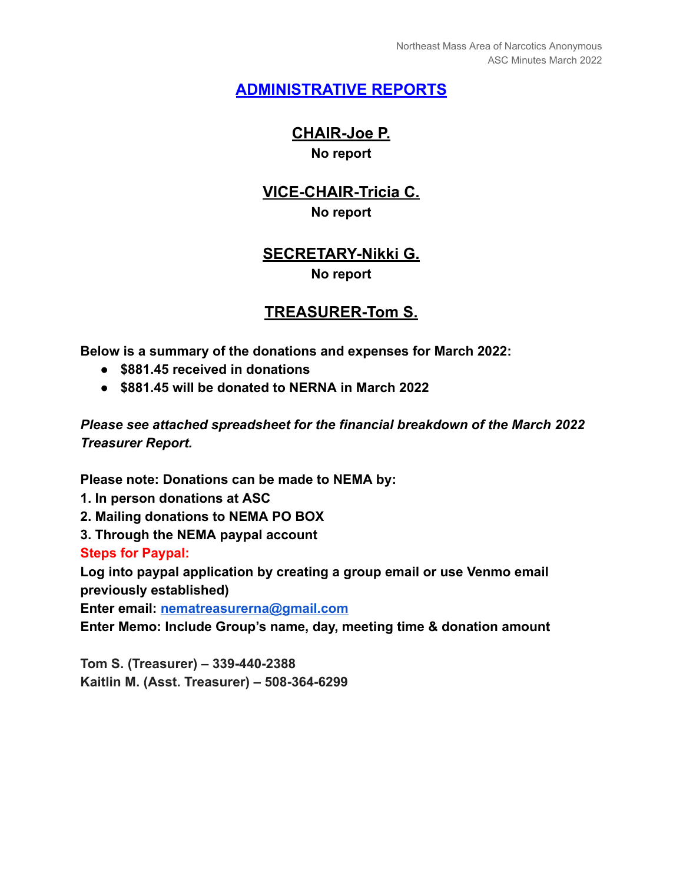# **ADMINISTRATIVE REPORTS**

#### **CHAIR-Joe P. No report**

# **VICE-CHAIR-Tricia C. No report**

#### **SECRETARY-Nikki G. No report**

### **TREASURER-Tom S.**

**Below is a summary of the donations and expenses for March 2022:**

- **● \$881.45 received in donations**
- **● \$881.45 will be donated to NERNA in March 2022**

*Please see attached spreadsheet for the financial breakdown of the March 2022 Treasurer Report.*

**Please note: Donations can be made to NEMA by:**

- **1. In person donations at ASC**
- **2. Mailing donations to NEMA PO BOX**
- **3. Through the NEMA paypal account**

**Steps for Paypal:**

**Log into paypal application by creating a group email or use Venmo email previously established)**

**Enter email: [nematreasurerna@gmail.com](mailto:nematreasurerna@gmail.com)**

**Enter Memo: Include Group's name, day, meeting time & donation amount**

**Tom S. (Treasurer) – 339-440-2388 Kaitlin M. (Asst. Treasurer) – 508-364-6299**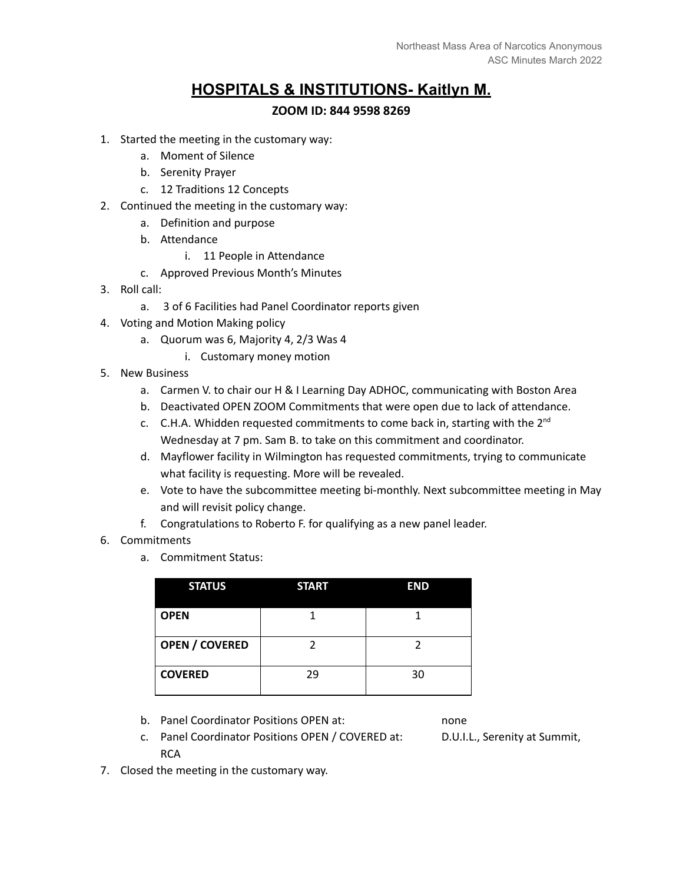## **HOSPITALS & INSTITUTIONS- Kaitlyn M.**

#### **ZOOM ID: 844 9598 8269**

- 1. Started the meeting in the customary way:
	- a. Moment of Silence
	- b. Serenity Prayer
	- c. 12 Traditions 12 Concepts
- 2. Continued the meeting in the customary way:
	- a. Definition and purpose
	- b. Attendance
		- i. 11 People in Attendance
	- c. Approved Previous Month's Minutes
- 3. Roll call:
	- a. 3 of 6 Facilities had Panel Coordinator reports given
- 4. Voting and Motion Making policy
	- a. Quorum was 6, Majority 4, 2/3 Was 4
		- i. Customary money motion
- 5. New Business
	- a. Carmen V. to chair our H & I Learning Day ADHOC, communicating with Boston Area
	- b. Deactivated OPEN ZOOM Commitments that were open due to lack of attendance.
	- c. C.H.A. Whidden requested commitments to come back in, starting with the  $2^{nd}$ Wednesday at 7 pm. Sam B. to take on this commitment and coordinator.
	- d. Mayflower facility in Wilmington has requested commitments, trying to communicate what facility is requesting. More will be revealed.
	- e. Vote to have the subcommittee meeting bi-monthly. Next subcommittee meeting in May and will revisit policy change.
	- f. Congratulations to Roberto F. for qualifying as a new panel leader.
- 6. Commitments
	- a. Commitment Status:

| <b>STATUS</b>         | <b>START</b> | <b>END</b> |
|-----------------------|--------------|------------|
| <b>OPEN</b>           |              |            |
| <b>OPEN / COVERED</b> |              |            |
| <b>COVERED</b>        | 29           | 30         |

b. Panel Coordinator Positions OPEN at: none

- c. Panel Coordinator Positions OPEN / COVERED at: D.U.I.L., Serenity at Summit, **RCA**
- 7. Closed the meeting in the customary way.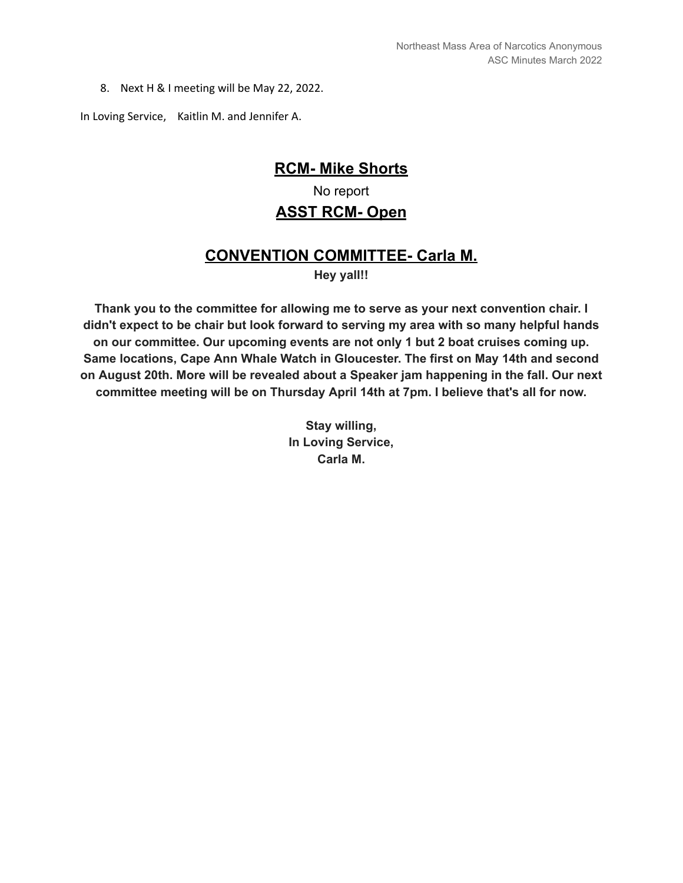8. Next H & I meeting will be May 22, 2022.

In Loving Service, Kaitlin M. and Jennifer A.

#### **RCM- Mike Shorts**

# No report **ASST RCM- Open**

# **CONVENTION COMMITTEE- Carla M.**

**Hey yall!!**

**Thank you to the committee for allowing me to serve as your next convention chair. I didn't expect to be chair but look forward to serving my area with so many helpful hands on our committee. Our upcoming events are not only 1 but 2 boat cruises coming up. Same locations, Cape Ann Whale Watch in Gloucester. The first on May 14th and second on August 20th. More will be revealed about a Speaker jam happening in the fall. Our next committee meeting will be on Thursday April 14th at 7pm. I believe that's all for now.**

> **Stay willing, In Loving Service, Carla M.**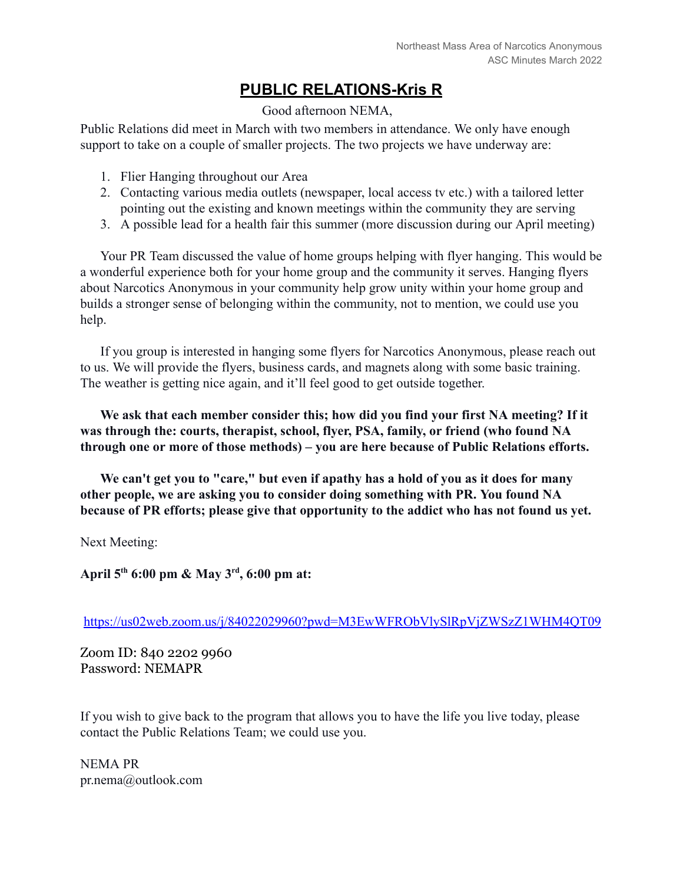# **PUBLIC RELATIONS-Kris R**

Good afternoon NEMA,

Public Relations did meet in March with two members in attendance. We only have enough support to take on a couple of smaller projects. The two projects we have underway are:

- 1. Flier Hanging throughout our Area
- 2. Contacting various media outlets (newspaper, local access tv etc.) with a tailored letter pointing out the existing and known meetings within the community they are serving
- 3. A possible lead for a health fair this summer (more discussion during our April meeting)

Your PR Team discussed the value of home groups helping with flyer hanging. This would be a wonderful experience both for your home group and the community it serves. Hanging flyers about Narcotics Anonymous in your community help grow unity within your home group and builds a stronger sense of belonging within the community, not to mention, we could use you help.

If you group is interested in hanging some flyers for Narcotics Anonymous, please reach out to us. We will provide the flyers, business cards, and magnets along with some basic training. The weather is getting nice again, and it'll feel good to get outside together.

**We ask that each member consider this; how did you find your first NA meeting? If it was through the: courts, therapist, school, flyer, PSA, family, or friend (who found NA through one or more of those methods) – you are here because of Public Relations efforts.**

**We can't get you to "care," but even if apathy has a hold of you as it does for many other people, we are asking you to consider doing something with PR. You found NA because of PR efforts; please give that opportunity to the addict who has not found us yet.**

Next Meeting:

**April 5th 6:00 pm & May 3rd , 6:00 pm at:**

<https://us02web.zoom.us/j/84022029960?pwd=M3EwWFRObVlySlRpVjZWSzZ1WHM4QT09>

Zoom ID: 840 2202 9960 Password: NEMAPR

If you wish to give back to the program that allows you to have the life you live today, please contact the Public Relations Team; we could use you.

NEMA PR pr.nema@outlook.com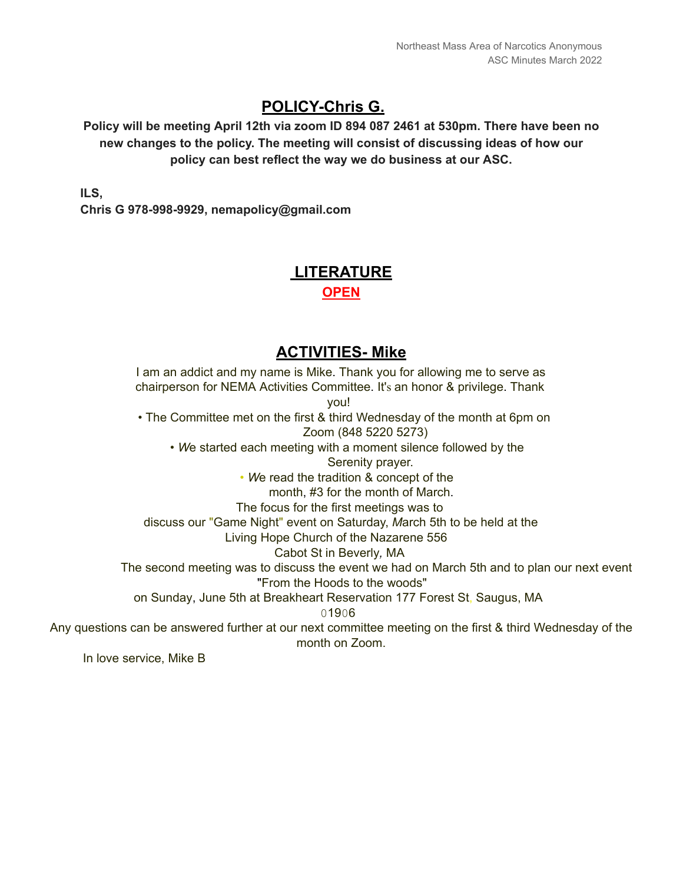# **POLICY-Chris G.**

**Policy will be meeting April 12th via zoom ID 894 087 2461 at 530pm. There have been no new changes to the policy. The meeting will consist of discussing ideas of how our policy can best reflect the way we do business at our ASC.**

**ILS,**

**Chris G 978-998-9929, nemapolicy@gmail.com**

# **LITERATURE OPEN**

### **ACTIVITIES- Mike**

I am an addict and my name is Mike. Thank you for allowing me to serve as chairperson for NEMA Activities Committee. It's an honor & privilege. Thank you! • The Committee met on the first & third Wednesday of the month at 6pm on Zoom (848 5220 5273) • *W*e started each meeting with a moment silence followed by the Serenity prayer. • *W*e read the tradition & concept of the month, #3 for the month of March. The focus for the first meetings was to discuss our "Game Night" event on Saturday, *M*arch 5th to be held at the Living Hope Church of the Nazarene 556 Cabot St in Beverly*,* MA The second meeting was to discuss the event we had on March 5th and to plan our next event "From the Hoods to the woods" on Sunday, June 5th at Breakheart Reservation 177 Forest St, Saugus, MA 01906 Any questions can be answered further at our next committee meeting on the first & third Wednesday of the month on Zoom.

In love service, Mike B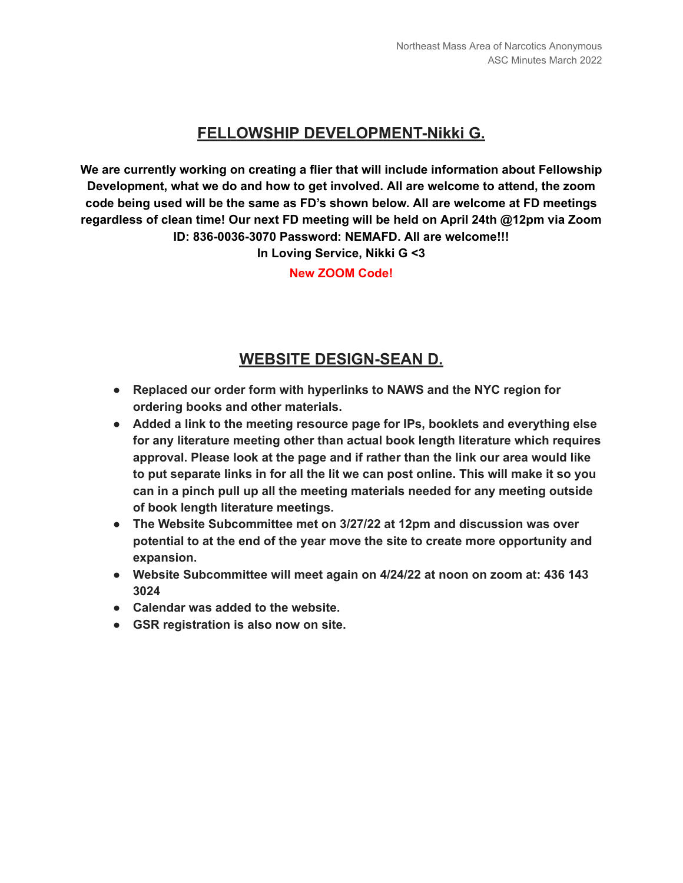# **FELLOWSHIP DEVELOPMENT-Nikki G.**

**We are currently working on creating a flier that will include information about Fellowship Development, what we do and how to get involved. All are welcome to attend, the zoom code being used will be the same as FD's shown below. All are welcome at FD meetings regardless of clean time! Our next FD meeting will be held on April 24th @12pm via Zoom ID: 836-0036-3070 Password: NEMAFD. All are welcome!!!**

**In Loving Service, Nikki G <3**

**New ZOOM Code!**

#### **WEBSITE DESIGN-SEAN D.**

- **● Replaced our order form with hyperlinks to NAWS and the NYC region for ordering books and other materials.**
- **● Added a link to the meeting resource page for IPs, booklets and everything else for any literature meeting other than actual book length literature which requires approval. Please look at the page and if rather than the link our area would like to put separate links in for all the lit we can post online. This will make it so you can in a pinch pull up all the meeting materials needed for any meeting outside of book length literature meetings.**
- **● The Website Subcommittee met on 3/27/22 at 12pm and discussion was over potential to at the end of the year move the site to create more opportunity and expansion.**
- **● Website Subcommittee will meet again on 4/24/22 at noon on zoom at: 436 143 3024**
- **● Calendar was added to the website.**
- **● GSR registration is also now on site.**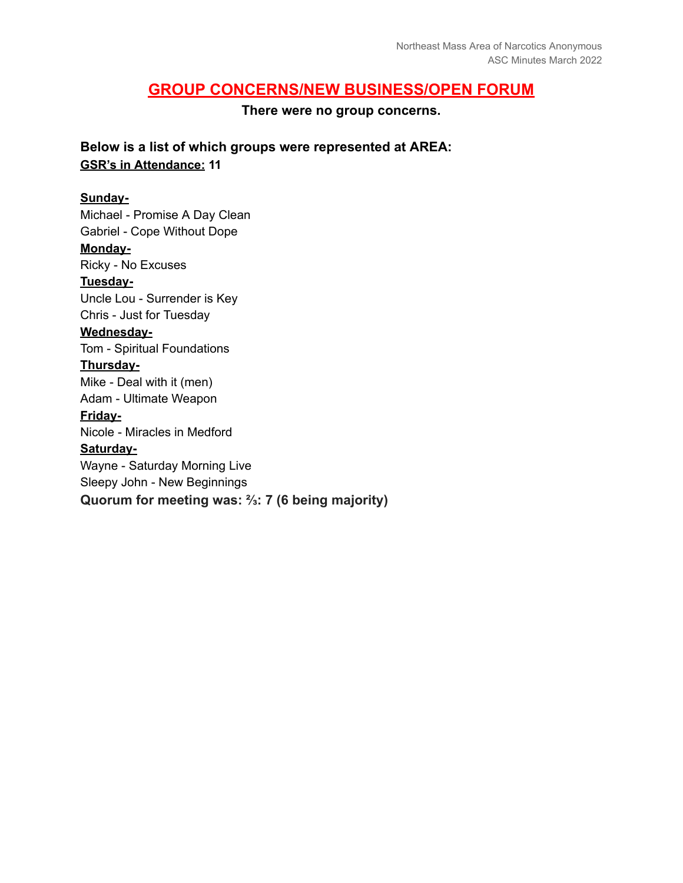#### **GROUP CONCERNS/NEW BUSINESS/OPEN FORUM**

**There were no group concerns.**

**Below is a list of which groups were represented at AREA: GSR's in Attendance: 11**

#### **Sunday-**

Michael - Promise A Day Clean Gabriel - Cope Without Dope **Monday-**Ricky - No Excuses **Tuesday-**Uncle Lou - Surrender is Key Chris - Just for Tuesday **Wednesday-**Tom - Spiritual Foundations **Thursday-**Mike - Deal with it (men) Adam - Ultimate Weapon **Friday-**Nicole - Miracles in Medford **Saturday-**Wayne - Saturday Morning Live Sleepy John - New Beginnings **Quorum for meeting was: ⅔: 7 (6 being majority)**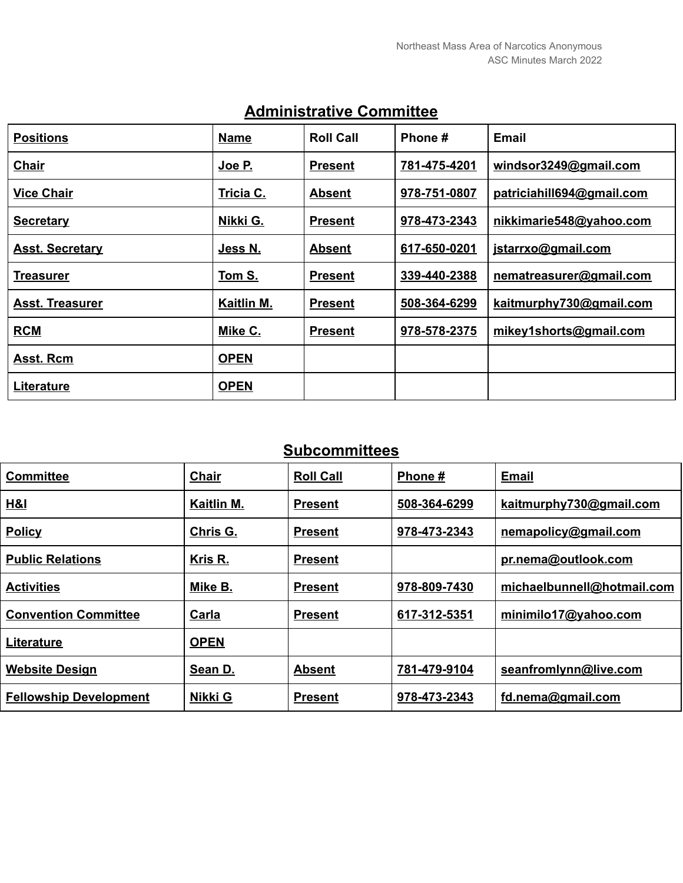| <b>Positions</b>       | <b>Name</b> | <b>Roll Call</b> | Phone #      | <b>Email</b>              |
|------------------------|-------------|------------------|--------------|---------------------------|
| <b>Chair</b>           | Joe P.      | <b>Present</b>   | 781-475-4201 | windsor3249@gmail.com     |
| <b>Vice Chair</b>      | Tricia C.   | <b>Absent</b>    | 978-751-0807 | patriciahill694@gmail.com |
| <b>Secretary</b>       | Nikki G.    | <b>Present</b>   | 978-473-2343 | nikkimarie548@yahoo.com   |
| <b>Asst. Secretary</b> | Jess N.     | <b>Absent</b>    | 617-650-0201 | jstarrxo@gmail.com        |
| <b>Treasurer</b>       | Tom S.      | <b>Present</b>   | 339-440-2388 | nematreasurer@gmail.com   |
| <b>Asst. Treasurer</b> | Kaitlin M.  | <b>Present</b>   | 508-364-6299 | kaitmurphy730@gmail.com   |
| <b>RCM</b>             | Mike C.     | <b>Present</b>   | 978-578-2375 | mikey1shorts@gmail.com    |
| Asst. Rcm              | <b>OPEN</b> |                  |              |                           |
| Literature             | <b>OPEN</b> |                  |              |                           |

# **Administrative Committee**

# **Subcommittees**

| <b>Committee</b>              | <b>Chair</b> | <b>Roll Call</b> | Phone #      | <b>Email</b>               |
|-------------------------------|--------------|------------------|--------------|----------------------------|
| H&I                           | Kaitlin M.   | <b>Present</b>   | 508-364-6299 | kaitmurphy730@gmail.com    |
| <b>Policy</b>                 | Chris G.     | <b>Present</b>   | 978-473-2343 | nemapolicy@gmail.com       |
| <b>Public Relations</b>       | Kris R.      | <b>Present</b>   |              | pr.nema@outlook.com        |
| <b>Activities</b>             | Mike B.      | <b>Present</b>   | 978-809-7430 | michaelbunnell@hotmail.com |
| <b>Convention Committee</b>   | Carla        | <b>Present</b>   | 617-312-5351 | minimilo17@yahoo.com       |
| Literature                    | <b>OPEN</b>  |                  |              |                            |
| <b>Website Design</b>         | Sean D.      | <b>Absent</b>    | 781-479-9104 | seanfromlynn@live.com      |
| <b>Fellowship Development</b> | Nikki G      | <b>Present</b>   | 978-473-2343 | fd.nema@gmail.com          |